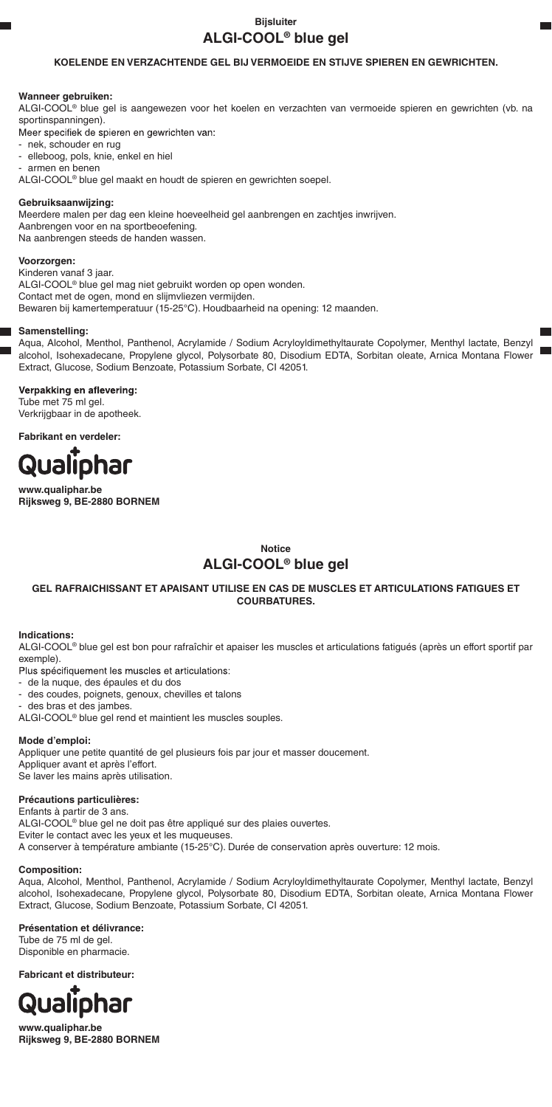# **Bijsluiter ALGI-COOL® blue gel**

# **KOELENDE EN VERZACHTENDE GEL BIJ VERMOEIDE EN STIJVE SPIEREN EN GEWRICHTEN.**

### **Wanneer gebruiken:**

ALGI-COOL® blue gel is aangewezen voor het koelen en verzachten van vermoeide spieren en gewrichten (vb. na sportinspanningen).

Meer specifiek de spieren en gewrichten van:

- nek, schouder en rug
- elleboog, pols, knie, enkel en hiel
- armen en benen

ALGI-COOL® blue gel maakt en houdt de spieren en gewrichten soepel.

### **Gebruiksaanwijzing:**

Meerdere malen per dag een kleine hoeveelheid gel aanbrengen en zachtjes inwrijven. Aanbrengen voor en na sportbeoefening. Na aanbrengen steeds de handen wassen.

### **Voorzorgen:**

Kinderen vanaf 3 jaar. ALGI-COOL® blue gel mag niet gebruikt worden op open wonden. Contact met de ogen, mond en slijmvliezen vermijden. Bewaren bij kamertemperatuur (15-25°C). Houdbaarheid na opening: 12 maanden.

### **Samenstelling:**

Aqua, Alcohol, Menthol, Panthenol, Acrylamide / Sodium Acryloyldimethyltaurate Copolymer, Menthyl lactate, Benzyl alcohol, Isohexadecane, Propylene glycol, Polysorbate 80, Disodium EDTA, Sorbitan oleate, Arnica Montana Flower Extract, Glucose, Sodium Benzoate, Potassium Sorbate, CI 42051.

Verpakking en aflevering: Tube met 75 ml gel. Verkrijgbaar in de apotheek.

**Fabrikant en verdeler:**



**www.qualiphar.be Rijksweg 9, BE-2880 BORNEM**

**Notice**

# **ALGI-COOL® blue gel**

## **GEL RAFRAICHISSANT ET APAISANT UTILISE EN CAS DE MUSCLES ET ARTICULATIONS FATIGUES ET COURBATURES.**

### **Indications:**

ALGI-COOL® blue gel est bon pour rafraîchir et apaiser les muscles et articulations fatigués (après un effort sportif par exemple)

Plus spécifiquement les muscles et articulations:

- de la nuque, des épaules et du dos
- des coudes, poignets, genoux, chevilles et talons

des bras et des jambes.

ALGI-COOL® blue gel rend et maintient les muscles souples.

### **Mode d'emploi:**

Appliquer une petite quantité de gel plusieurs fois par jour et masser doucement. Appliquer avant et après l'effort. Se laver les mains après utilisation.

### **Précautions particulières:**

Enfants à partir de 3 ans. ALGI-COOL® blue gel ne doit pas être appliqué sur des plaies ouvertes. Eviter le contact avec les yeux et les muqueuses. A conserver à température ambiante (15-25°C). Durée de conservation après ouverture: 12 mois.

### **Composition:**

Aqua, Alcohol, Menthol, Panthenol, Acrylamide / Sodium Acryloyldimethyltaurate Copolymer, Menthyl lactate, Benzyl alcohol, Isohexadecane, Propylene glycol, Polysorbate 80, Disodium EDTA, Sorbitan oleate, Arnica Montana Flower Extract, Glucose, Sodium Benzoate, Potassium Sorbate, CI 42051.

**Présentation et délivrance:**

Tube de 75 ml de gel. Disponible en pharmacie.

**Fabricant et distributeur:**



**www.qualiphar.be Rijksweg 9, BE-2880 BORNEM**